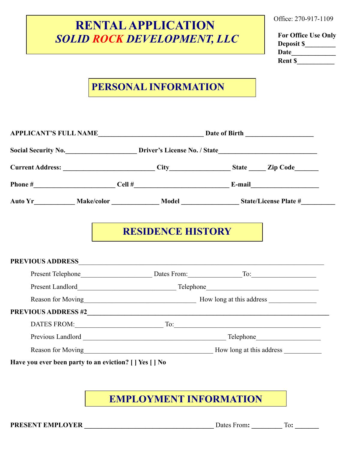## **RENTAL APPLICATION**   *SOLID ROCK DEVELOPMENT, LLC*

Office: 270-917-1109

**For Office Use Only Deposit \$\_\_\_\_\_\_\_\_\_ Date\_\_\_\_\_\_\_\_\_\_\_\_\_ Rent \$** 

## **PERSONAL INFORMATION**

|  | Social Security No. 1998 Driver's License No. / State |                                                                                                      |                                               |  |
|--|-------------------------------------------------------|------------------------------------------------------------------------------------------------------|-----------------------------------------------|--|
|  |                                                       |                                                                                                      |                                               |  |
|  |                                                       | Phone $\#$ E-mail E-mail                                                                             |                                               |  |
|  |                                                       | Auto Yr_____________ Make/color ______________ Model _________________State/License Plate #_________ |                                               |  |
|  |                                                       | <b>RESIDENCE HISTORY</b>                                                                             |                                               |  |
|  |                                                       | PREVIOUS ADDRESS                                                                                     |                                               |  |
|  |                                                       |                                                                                                      |                                               |  |
|  |                                                       |                                                                                                      |                                               |  |
|  |                                                       | Reason for Moving<br><u>Reason for Moving</u>                                                        |                                               |  |
|  |                                                       | PREVIOUS ADDRESS #2                                                                                  |                                               |  |
|  |                                                       |                                                                                                      |                                               |  |
|  |                                                       |                                                                                                      |                                               |  |
|  |                                                       |                                                                                                      | Reason for Moving<br><u>Reason for Moving</u> |  |
|  |                                                       |                                                                                                      |                                               |  |

**EMPLOYMENT INFORMATION**

**PRESENT EMPLOYER** Dates From: To: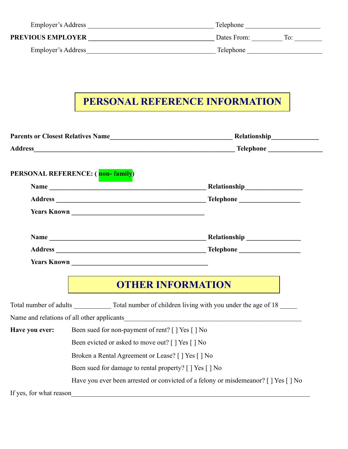| Employer's Address       | Telephone          |
|--------------------------|--------------------|
| <b>PREVIOUS EMPLOYER</b> | To:<br>Dates From: |
| Employer's Address       | Telephone          |

## **PERSONAL REFERENCE INFORMATION**

|                         | PERSONAL REFERENCE: (non-family)                                                    |                          |  |  |  |  |
|-------------------------|-------------------------------------------------------------------------------------|--------------------------|--|--|--|--|
|                         |                                                                                     |                          |  |  |  |  |
|                         |                                                                                     |                          |  |  |  |  |
|                         |                                                                                     |                          |  |  |  |  |
|                         |                                                                                     |                          |  |  |  |  |
|                         |                                                                                     |                          |  |  |  |  |
|                         |                                                                                     |                          |  |  |  |  |
|                         |                                                                                     |                          |  |  |  |  |
|                         |                                                                                     | <b>OTHER INFORMATION</b> |  |  |  |  |
|                         |                                                                                     |                          |  |  |  |  |
|                         |                                                                                     |                          |  |  |  |  |
| Have you ever:          | Been sued for non-payment of rent? [ ] Yes [ ] No                                   |                          |  |  |  |  |
|                         | Been evicted or asked to move out? [ ] Yes [ ] No                                   |                          |  |  |  |  |
|                         | Broken a Rental Agreement or Lease? [ ] Yes [ ] No                                  |                          |  |  |  |  |
|                         | Been sued for damage to rental property? [ ] Yes [ ] No                             |                          |  |  |  |  |
|                         | Have you ever been arrested or convicted of a felony or misdemeanor? [ ] Yes [ ] No |                          |  |  |  |  |
| If yes, for what reason |                                                                                     |                          |  |  |  |  |